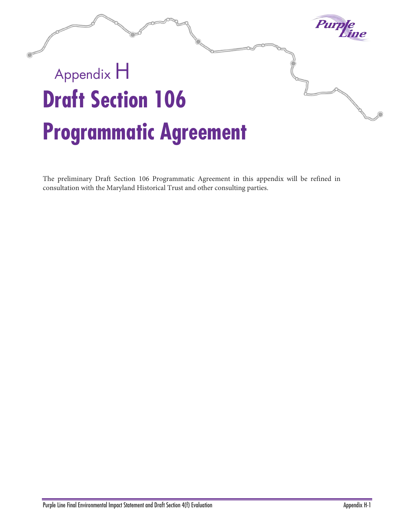

The preliminary Draft Section 106 Programmatic Agreement in this appendix will be refined in consultation with the Maryland Historical Trust and other consulting parties.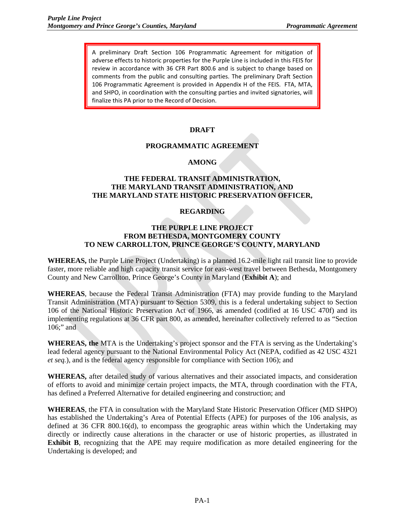A preliminary Draft Section 106 Programmatic Agreement for mitigation of adverse effects to historic properties for the Purple Line is included in this FEIS for review in accordance with 36 CFR Part 800.6 and is subject to change based on comments from the public and consulting parties. The preliminary Draft Section 106 Programmatic Agreement is provided in Appendix H of the FEIS. FTA, MTA, and SHPO, in coordination with the consulting parties and invited signatories, will finalize this PA prior to the Record of Decision.

### **DRAFT**

#### **PROGRAMMATIC AGREEMENT**

### **AMONG**

### **THE FEDERAL TRANSIT ADMINISTRATION, THE MARYLAND TRANSIT ADMINISTRATION, AND THE MARYLAND STATE HISTORIC PRESERVATION OFFICER,**

#### **REGARDING**

#### **THE PURPLE LINE PROJECT FROM BETHESDA, MONTGOMERY COUNTY TO NEW CARROLLTON, PRINCE GEORGE'S COUNTY, MARYLAND**

**WHEREAS,** the Purple Line Project (Undertaking) is a planned 16.2-mile light rail transit line to provide faster, more reliable and high capacity transit service for east-west travel between Bethesda, Montgomery County and New Carrollton, Prince George's County in Maryland (**Exhibit A**); and

**WHEREAS**, because the Federal Transit Administration (FTA) may provide funding to the Maryland Transit Administration (MTA) pursuant to Section 5309, this is a federal undertaking subject to Section 106 of the National Historic Preservation Act of 1966, as amended (codified at 16 USC 470f) and its implementing regulations at 36 CFR part 800, as amended, hereinafter collectively referred to as "Section 106;" and

**WHEREAS, the** MTA is the Undertaking's project sponsor and the FTA is serving as the Undertaking's lead federal agency pursuant to the National Environmental Policy Act (NEPA, codified as 42 USC 4321 *et seq.*), and is the federal agency responsible for compliance with Section 106); and

**WHEREAS,** after detailed study of various alternatives and their associated impacts, and consideration of efforts to avoid and minimize certain project impacts, the MTA, through coordination with the FTA, has defined a Preferred Alternative for detailed engineering and construction; and

**WHEREAS**, the FTA in consultation with the Maryland State Historic Preservation Officer (MD SHPO) has established the Undertaking's Area of Potential Effects (APE) for purposes of the 106 analysis, as defined at 36 CFR 800.16(d), to encompass the geographic areas within which the Undertaking may directly or indirectly cause alterations in the character or use of historic properties, as illustrated in **Exhibit B**, recognizing that the APE may require modification as more detailed engineering for the Undertaking is developed; and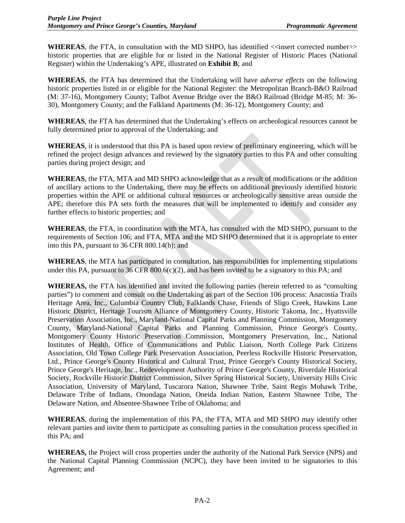**WHEREAS**, the FTA, in consultation with the MD SHPO, has identified  $\le$ insert corrected number $\ge$ historic properties that are eligible for or listed in the National Register of Historic Places (National Register) within the Undertaking's APE, illustrated on **Exhibit B**; and

**WHEREAS**, the FTA has determined that the Undertaking will have *adverse effects* on the following historic properties listed in or eligible for the National Register: the Metropolitan Branch-B&O Railroad (M: 37-16), Montgomery County; Talbot Avenue Bridge over the B&O Railroad (Bridge M-85; M: 36- 30), Montgomery County; and the Falkland Apartments (M: 36-12), Montgomery County; and

**WHEREAS**, the FTA has determined that the Undertaking's effects on archeological resources cannot be fully determined prior to approval of the Undertaking; and

**WHEREAS**, it is understood that this PA is based upon review of preliminary engineering, which will be refined the project design advances and reviewed by the signatory parties to this PA and other consulting parties during project design; and

**WHEREAS**, the FTA, MTA and MD SHPO acknowledge that as a result of modifications or the addition of ancillary actions to the Undertaking, there may be effects on additional previously identified historic properties within the APE or additional cultural resources or archeologically sensitive areas outside the APE; therefore this PA sets forth the measures that will be implemented to identify and consider any further effects to historic properties; and

**WHEREAS**, the FTA, in coordination with the MTA, has consulted with the MD SHPO, pursuant to the requirements of Section 106; and FTA, MTA and the MD SHPO determined that it is appropriate to enter into this PA, pursuant to 36 CFR 800.14(b); and

**WHEREAS**, the MTA has participated in consultation, has responsibilities for implementing stipulations under this PA, pursuant to 36 CFR 800.6(c)(2), and has been invited to be a signatory to this PA; and

**WHEREAS,** the FTA has identified and invited the following parties (herein referred to as "consulting parties") to comment and consult on the Undertaking as part of the Section 106 process: Anacostia Trails Heritage Area, Inc., Columbia Country Club, Falklands Chase, Friends of Sligo Creek, Hawkins Lane Historic District, Heritage Tourism Alliance of Montgomery County, Historic Takoma, Inc., Hyattsville Preservation Association, Inc., Maryland-National Capital Parks and Planning Commission, Montgomery County, Maryland-National Capital Parks and Planning Commission, Prince George's County, Montgomery County Historic Preservation Commission, Montgomery Preservation, Inc., National Institutes of Health, Office of Communications and Public Liaison, North College Park Citizens Association, Old Town College Park Preservation Association, Peerless Rockville Historic Preservation, Ltd., Prince George's County Historical and Cultural Trust, Prince George's County Historical Society, Prince George's Heritage, Inc., Redevelopment Authority of Prince George's County, Riverdale Historical Society, Rockville Historic District Commission, Silver Spring Historical Society, University Hills Civic Association, University of Maryland, Tuscarora Nation, Shawnee Tribe, Saint Regis Mohawk Tribe, Delaware Tribe of Indians, Onondaga Nation, Oneida Indian Nation, Eastern Shawnee Tribe, The Delaware Nation, and Absentee-Shawnee Tribe of Oklahoma; and

**WHEREAS**, during the implementation of this PA, the FTA, MTA and MD SHPO may identify other relevant parties and invite them to participate as consulting parties in the consultation process specified in this PA; and

**WHEREAS,** the Project will cross properties under the authority of the National Park Service (NPS) and the National Capital Planning Commission (NCPC), they have been invited to be signatories to this Agreement; and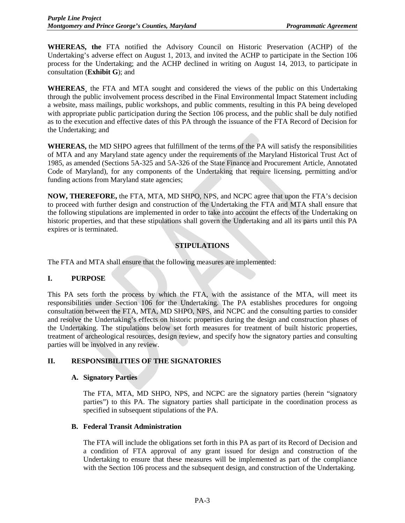**WHEREAS, the** FTA notified the Advisory Council on Historic Preservation (ACHP) of the Undertaking's adverse effect on August 1, 2013, and invited the ACHP to participate in the Section 106 process for the Undertaking; and the ACHP declined in writing on August 14, 2013, to participate in consultation (**Exhibit G**); and

**WHEREAS¸** the FTA and MTA sought and considered the views of the public on this Undertaking through the public involvement process described in the Final Environmental Impact Statement including a website, mass mailings, public workshops, and public comments, resulting in this PA being developed with appropriate public participation during the Section 106 process, and the public shall be duly notified as to the execution and effective dates of this PA through the issuance of the FTA Record of Decision for the Undertaking; and

**WHEREAS,** the MD SHPO agrees that fulfillment of the terms of the PA will satisfy the responsibilities of MTA and any Maryland state agency under the requirements of the Maryland Historical Trust Act of 1985, as amended (Sections 5A-325 and 5A-326 of the State Finance and Procurement Article, Annotated Code of Maryland), for any components of the Undertaking that require licensing, permitting and/or funding actions from Maryland state agencies;

**NOW, THEREFORE,** the FTA, MTA, MD SHPO, NPS, and NCPC agree that upon the FTA's decision to proceed with further design and construction of the Undertaking the FTA and MTA shall ensure that the following stipulations are implemented in order to take into account the effects of the Undertaking on historic properties, and that these stipulations shall govern the Undertaking and all its parts until this PA expires or is terminated.

# **STIPULATIONS**

The FTA and MTA shall ensure that the following measures are implemented:

#### **I. PURPOSE**

This PA sets forth the process by which the FTA, with the assistance of the MTA, will meet its responsibilities under Section 106 for the Undertaking. The PA establishes procedures for ongoing consultation between the FTA, MTA, MD SHPO, NPS, and NCPC and the consulting parties to consider and resolve the Undertaking's effects on historic properties during the design and construction phases of the Undertaking. The stipulations below set forth measures for treatment of built historic properties, treatment of archeological resources, design review, and specify how the signatory parties and consulting parties will be involved in any review.

# **II. RESPONSIBILITIES OF THE SIGNATORIES**

#### **A. Signatory Parties**

The FTA, MTA, MD SHPO, NPS, and NCPC are the signatory parties (herein "signatory parties") to this PA. The signatory parties shall participate in the coordination process as specified in subsequent stipulations of the PA.

#### **B. Federal Transit Administration**

The FTA will include the obligations set forth in this PA as part of its Record of Decision and a condition of FTA approval of any grant issued for design and construction of the Undertaking to ensure that these measures will be implemented as part of the compliance with the Section 106 process and the subsequent design, and construction of the Undertaking.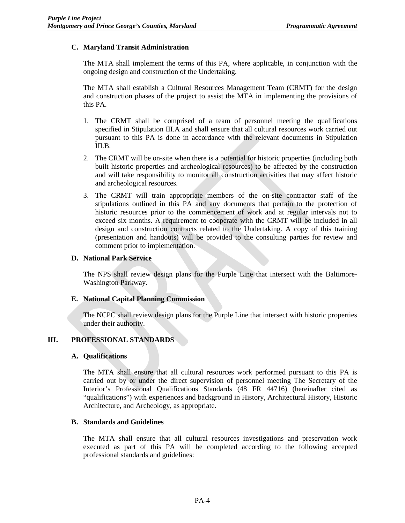# **C. Maryland Transit Administration**

The MTA shall implement the terms of this PA, where applicable, in conjunction with the ongoing design and construction of the Undertaking.

The MTA shall establish a Cultural Resources Management Team (CRMT) for the design and construction phases of the project to assist the MTA in implementing the provisions of this PA.

- 1. The CRMT shall be comprised of a team of personnel meeting the qualifications specified in Stipulation III.A and shall ensure that all cultural resources work carried out pursuant to this PA is done in accordance with the relevant documents in Stipulation III.B.
- 2. The CRMT will be on-site when there is a potential for historic properties (including both built historic properties and archeological resources) to be affected by the construction and will take responsibility to monitor all construction activities that may affect historic and archeological resources.
- 3. The CRMT will train appropriate members of the on-site contractor staff of the stipulations outlined in this PA and any documents that pertain to the protection of historic resources prior to the commencement of work and at regular intervals not to exceed six months. A requirement to cooperate with the CRMT will be included in all design and construction contracts related to the Undertaking. A copy of this training (presentation and handouts) will be provided to the consulting parties for review and comment prior to implementation.

### **D. National Park Service**

The NPS shall review design plans for the Purple Line that intersect with the Baltimore-Washington Parkway.

#### **E. National Capital Planning Commission**

The NCPC shall review design plans for the Purple Line that intersect with historic properties under their authority.

# **III. PROFESSIONAL STANDARDS**

#### **A. Qualifications**

The MTA shall ensure that all cultural resources work performed pursuant to this PA is carried out by or under the direct supervision of personnel meeting The Secretary of the Interior's Professional Qualifications Standards (48 FR 44716) (hereinafter cited as "qualifications") with experiences and background in History, Architectural History, Historic Architecture, and Archeology, as appropriate.

#### **B. Standards and Guidelines**

The MTA shall ensure that all cultural resources investigations and preservation work executed as part of this PA will be completed according to the following accepted professional standards and guidelines: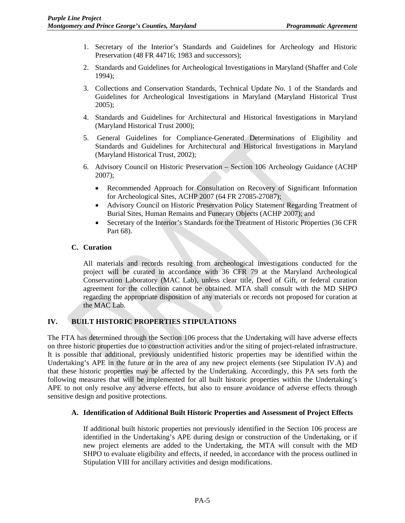- 1. Secretary of the Interior's Standards and Guidelines for Archeology and Historic Preservation (48 FR 44716; 1983 and successors);
- 2. Standards and Guidelines for Archeological Investigations in Maryland (Shaffer and Cole 1994);
- 3. Collections and Conservation Standards, Technical Update No. 1 of the Standards and Guidelines for Archeological Investigations in Maryland (Maryland Historical Trust 2005);
- 4. Standards and Guidelines for Architectural and Historical Investigations in Maryland (Maryland Historical Trust 2000);
- 5. General Guidelines for Compliance-Generated Determinations of Eligibility and Standards and Guidelines for Architectural and Historical Investigations in Maryland (Maryland Historical Trust, 2002);
- 6. Advisory Council on Historic Preservation Section 106 Archeology Guidance (ACHP 2007);
	- Recommended Approach for Consultation on Recovery of Significant Information for Archeological Sites, ACHP 2007 (64 FR 27085-27087);
	- Advisory Council on Historic Preservation Policy Statement Regarding Treatment of Burial Sites, Human Remains and Funerary Objects (ACHP 2007); and
	- Secretary of the Interior's Standards for the Treatment of Historic Properties (36 CFR Part 68).

### **C. Curation**

All materials and records resulting from archeological investigations conducted for the project will be curated in accordance with 36 CFR 79 at the Maryland Archeological Conservation Laboratory (MAC Lab), unless clear title, Deed of Gift, or federal curation agreement for the collection cannot be obtained. MTA shall consult with the MD SHPO regarding the appropriate disposition of any materials or records not proposed for curation at the MAC Lab.

# **IV. BUILT HISTORIC PROPERTIES STIPULATIONS**

The FTA has determined through the Section 106 process that the Undertaking will have adverse effects on three historic properties due to construction activities and/or the siting of project-related infrastructure. It is possible that additional, previously unidentified historic properties may be identified within the Undertaking's APE in the future or in the area of any new project elements (see Stipulation IV.A) and that these historic properties may be affected by the Undertaking. Accordingly, this PA sets forth the following measures that will be implemented for all built historic properties within the Undertaking's APE to not only resolve any adverse effects, but also to ensure avoidance of adverse effects through sensitive design and positive protections.

#### **A. Identification of Additional Built Historic Properties and Assessment of Project Effects**

If additional built historic properties not previously identified in the Section 106 process are identified in the Undertaking's APE during design or construction of the Undertaking, or if new project elements are added to the Undertaking, the MTA will consult with the MD SHPO to evaluate eligibility and effects, if needed, in accordance with the process outlined in Stipulation VIII for ancillary activities and design modifications.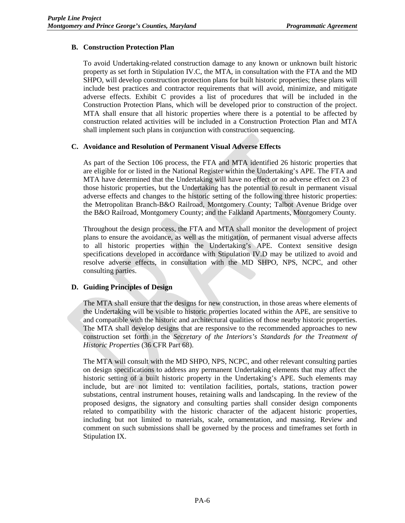# **B. Construction Protection Plan**

To avoid Undertaking-related construction damage to any known or unknown built historic property as set forth in Stipulation IV.C, the MTA, in consultation with the FTA and the MD SHPO, will develop construction protection plans for built historic properties; these plans will include best practices and contractor requirements that will avoid, minimize, and mitigate adverse effects. Exhibit C provides a list of procedures that will be included in the Construction Protection Plans, which will be developed prior to construction of the project. MTA shall ensure that all historic properties where there is a potential to be affected by construction related activities will be included in a Construction Protection Plan and MTA shall implement such plans in conjunction with construction sequencing.

### **C. Avoidance and Resolution of Permanent Visual Adverse Effects**

As part of the Section 106 process, the FTA and MTA identified 26 historic properties that are eligible for or listed in the National Register within the Undertaking's APE. The FTA and MTA have determined that the Undertaking will have no effect or no adverse effect on 23 of those historic properties, but the Undertaking has the potential to result in permanent visual adverse effects and changes to the historic setting of the following three historic properties: the Metropolitan Branch-B&O Railroad, Montgomery County; Talbot Avenue Bridge over the B&O Railroad, Montgomery County; and the Falkland Apartments, Montgomery County.

Throughout the design process, the FTA and MTA shall monitor the development of project plans to ensure the avoidance, as well as the mitigation, of permanent visual adverse affects to all historic properties within the Undertaking's APE. Context sensitive design specifications developed in accordance with Stipulation IV.D may be utilized to avoid and resolve adverse effects, in consultation with the MD SHPO, NPS, NCPC, and other consulting parties.

# **D. Guiding Principles of Design**

The MTA shall ensure that the designs for new construction, in those areas where elements of the Undertaking will be visible to historic properties located within the APE, are sensitive to and compatible with the historic and architectural qualities of those nearby historic properties. The MTA shall develop designs that are responsive to the recommended approaches to new construction set forth in the *Secretary of the Interiors's Standards for the Treatment of Historic Properties* (36 CFR Part 68).

The MTA will consult with the MD SHPO, NPS, NCPC, and other relevant consulting parties on design specifications to address any permanent Undertaking elements that may affect the historic setting of a built historic property in the Undertaking's APE. Such elements may include, but are not limited to: ventilation facilities, portals, stations, traction power substations, central instrument houses, retaining walls and landscaping. In the review of the proposed designs, the signatory and consulting parties shall consider design components related to compatibility with the historic character of the adjacent historic properties, including but not limited to materials, scale, ornamentation, and massing. Review and comment on such submissions shall be governed by the process and timeframes set forth in Stipulation IX.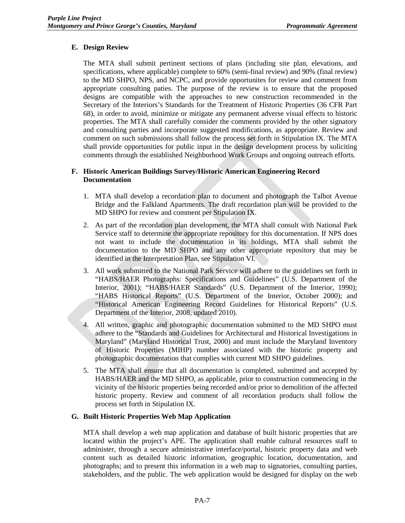# **E. Design Review**

The MTA shall submit pertinent sections of plans (including site plan, elevations, and specifications, where applicable) complete to 60% (semi-final review) and 90% (final review) to the MD SHPO, NPS, and NCPC, and provide opportunites for review and comment from appropriate consulting paties. The purpose of the review is to ensure that the proposed designs are compatible with the approaches to new construction recommended in the Secretary of the Interiors's Standards for the Treatment of Historic Properties (36 CFR Part 68), in order to avoid, minimize or mitigate any permanent adverse visual effects to historic properties. The MTA shall carefully consider the comments provided by the other signatory and consulting parties and incorporate suggested modifications, as appropriate. Review and comment on such submissions shall follow the process set forth in Stipulation IX. The MTA shall provide opportunities for public input in the design development process by soliciting comments through the established Neighborhood Work Groups and ongoing outreach efforts.

# **F. Historic American Buildings Survey/Historic American Engineering Record Documentation**

- 1. MTA shall develop a recordation plan to document and photograph the Talbot Avenue Bridge and the Falkland Apartments. The draft recordation plan will be provided to the MD SHPO for review and comment per Stipulation IX.
- 2. As part of the recordation plan development, the MTA shall consult with National Park Service staff to determine the appropriate repository for this documentation. If NPS does not want to include the documentation in its holdings, MTA shall submit the documentation to the MD SHPO and any other appropriate repository that may be identified in the Interpretation Plan, see Stipulation VI.
- 3. All work submitted to the National Park Service will adhere to the guidelines set forth in "HABS/HAER Photographs: Specifications and Guidelines" (U.S. Department of the Interior, 2001); "HABS/HAER Standards" (U.S. Department of the Interior, 1990); "HABS Historical Reports" (U.S. Department of the Interior, October 2000); and "Historical American Engineering Record Guidelines for Historical Reports" (U.S. Department of the Interior, 2008, updated 2010).
- 4. All written, graphic and photographic documentation submitted to the MD SHPO must adhere to the "Standards and Guidelines for Architectural and Historical Investigations in Maryland" (Maryland Historical Trust, 2000) and must include the Maryland Inventory of Historic Properties (MIHP) number associated with the historic property and photographic documentation that complies with current MD SHPO guidelines.
- 5. The MTA shall ensure that all documentation is completed, submitted and accepted by HABS/HAER and the MD SHPO, as applicable, prior to construction commencing in the vicinity of the historic properties being recorded and/or prior to demolition of the affected historic property. Review and comment of all recordation products shall follow the process set forth in Stipulation IX.

# **G. Built Historic Properties Web Map Application**

MTA shall develop a web map application and database of built historic properties that are located within the project's APE. The application shall enable cultural resources staff to administer, through a secure administrative interface/portal, historic property data and web content such as detailed historic information, geographic location, documentation, and photographs; and to present this information in a web map to signatories, consulting parties, stakeholders, and the public. The web application would be designed for display on the web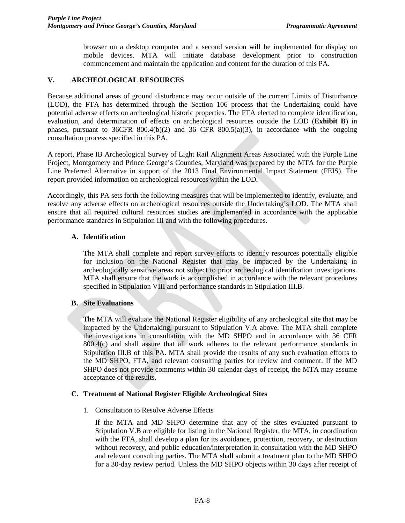browser on a desktop computer and a second version will be implemented for display on mobile devices. MTA will initiate database development prior to construction commencement and maintain the application and content for the duration of this PA.

### **V. ARCHEOLOGICAL RESOURCES**

Because additional areas of ground disturbance may occur outside of the current Limits of Disturbance (LOD), the FTA has determined through the Section 106 process that the Undertaking could have potential adverse effects on archeological historic properties. The FTA elected to complete identification, evaluation, and determination of effects on archeological resources outside the LOD (**Exhibit B**) in phases, pursuant to 36CFR 800.4(b)(2) and 36 CFR 800.5(a)(3), in accordance with the ongoing consultation process specified in this PA.

A report, Phase IB Archeological Survey of Light Rail Alignment Areas Associated with the Purple Line Project, Montgomery and Prince George's Counties, Maryland was prepared by the MTA for the Purple Line Preferred Alternative in support of the 2013 Final Environmental Impact Statement (FEIS). The report provided information on archeological resources within the LOD.

Accordingly, this PA sets forth the following measures that will be implemented to identify, evaluate, and resolve any adverse effects on archeological resources outside the Undertaking's LOD. The MTA shall ensure that all required cultural resources studies are implemented in accordance with the applicable performance standards in Stipulation III and with the following procedures.

#### **A. Identification**

The MTA shall complete and report survey efforts to identify resources potentially eligible for inclusion on the National Register that may be impacted by the Undertaking in archeologically sensitive areas not subject to prior archeological identifcation investigations. MTA shall ensure that the work is accomplished in accordance with the relevant procedures specified in Stipulation VIII and performance standards in Stipulation III.B.

#### **B. Site Evaluations**

The MTA will evaluate the National Register eligibility of any archeological site that may be impacted by the Undertaking, pursuant to Stipulation V.A above. The MTA shall complete the investigations in consultation with the MD SHPO and in accordance with 36 CFR 800.4(c) and shall assure that all work adheres to the relevant performance standards in Stipulation III.B of this PA. MTA shall provide the results of any such evaluation efforts to the MD SHPO, FTA, and relevant consulting parties for review and comment. If the MD SHPO does not provide comments within 30 calendar days of receipt, the MTA may assume acceptance of the results.

#### **C. Treatment of National Register Eligible Archeological Sites**

1. Consultation to Resolve Adverse Effects

If the MTA and MD SHPO determine that any of the sites evaluated pursuant to Stipulation V.B are eligible for listing in the National Register, the MTA, in coordination with the FTA, shall develop a plan for its avoidance, protection, recovery, or destruction without recovery, and public education/interpretation in consultation with the MD SHPO and relevant consulting parties. The MTA shall submit a treatment plan to the MD SHPO for a 30-day review period. Unless the MD SHPO objects within 30 days after receipt of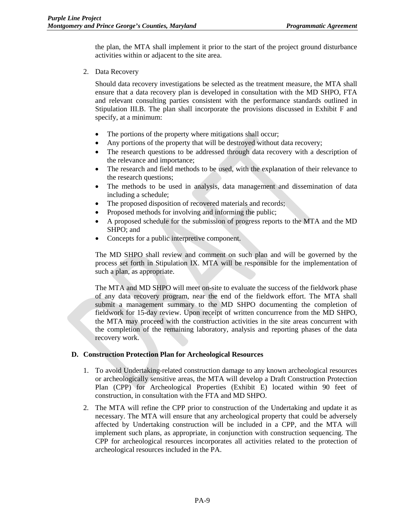the plan, the MTA shall implement it prior to the start of the project ground disturbance activities within or adjacent to the site area.

2. Data Recovery

Should data recovery investigations be selected as the treatment measure, the MTA shall ensure that a data recovery plan is developed in consultation with the MD SHPO, FTA and relevant consulting parties consistent with the performance standards outlined in Stipulation III.B. The plan shall incorporate the provisions discussed in Exhibit F and specify, at a minimum:

- The portions of the property where mitigations shall occur;
- Any portions of the property that will be destroyed without data recovery;
- The research questions to be addressed through data recovery with a description of the relevance and importance;
- The research and field methods to be used, with the explanation of their relevance to the research questions;
- The methods to be used in analysis, data management and dissemination of data including a schedule;
- The proposed disposition of recovered materials and records;
- Proposed methods for involving and informing the public;
- A proposed schedule for the submission of progress reports to the MTA and the MD SHPO; and
- Concepts for a public interpretive component.

The MD SHPO shall review and comment on such plan and will be governed by the process set forth in Stipulation IX. MTA will be responsible for the implementation of such a plan, as appropriate.

The MTA and MD SHPO will meet on-site to evaluate the success of the fieldwork phase of any data recovery program, near the end of the fieldwork effort. The MTA shall submit a management summary to the MD SHPO documenting the completion of fieldwork for 15-day review. Upon receipt of written concurrence from the MD SHPO, the MTA may proceed with the construction activities in the site areas concurrent with the completion of the remaining laboratory, analysis and reporting phases of the data recovery work.

# **D. Construction Protection Plan for Archeological Resources**

- 1. To avoid Undertaking-related construction damage to any known archeological resources or archeologically sensitive areas, the MTA will develop a Draft Construction Protection Plan (CPP) for Archeological Properties (Exhibit E) located within 90 feet of construction, in consultation with the FTA and MD SHPO.
- 2. The MTA will refine the CPP prior to construction of the Undertaking and update it as necessary. The MTA will ensure that any archeological property that could be adversely affected by Undertaking construction will be included in a CPP, and the MTA will implement such plans, as appropriate, in conjunction with construction sequencing. The CPP for archeological resources incorporates all activities related to the protection of archeological resources included in the PA.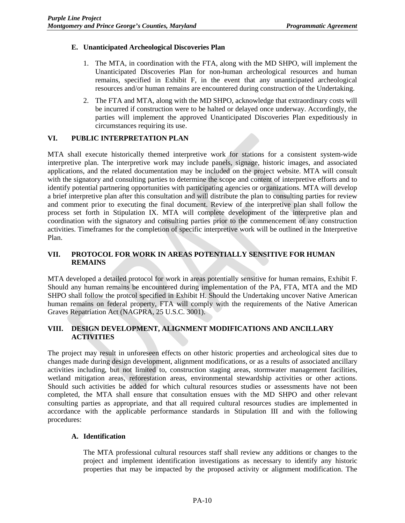# **E. Unanticipated Archeological Discoveries Plan**

- 1. The MTA, in coordination with the FTA, along with the MD SHPO, will implement the Unanticipated Discoveries Plan for non-human archeological resources and human remains, specified in Exhibit F, in the event that any unanticipated archeological resources and/or human remains are encountered during construction of the Undertaking.
- 2. The FTA and MTA, along with the MD SHPO, acknowledge that extraordinary costs will be incurred if construction were to be halted or delayed once underway. Accordingly, the parties will implement the approved Unanticipated Discoveries Plan expeditiously in circumstances requiring its use.

# **VI. PUBLIC INTERPRETATION PLAN**

MTA shall execute historically themed interpretive work for stations for a consistent system-wide interpretive plan. The interpretive work may include panels, signage, historic images, and associated applications, and the related documentation may be included on the project website. MTA will consult with the signatory and consulting parties to determine the scope and content of interpretive efforts and to identify potential partnering opportunities with participating agencies or organizations. MTA will develop a brief interpretive plan after this consultation and will distribute the plan to consulting parties for review and comment prior to executing the final document. Review of the interpretive plan shall follow the process set forth in Stipulation IX. MTA will complete development of the interpretive plan and coordination with the signatory and consulting parties prior to the commencement of any construction activities. Timeframes for the completion of specific interpretive work will be outlined in the Interpretive Plan.

# **VII. PROTOCOL FOR WORK IN AREAS POTENTIALLY SENSITIVE FOR HUMAN REMAINS**

MTA developed a detailed protocol for work in areas potentially sensitive for human remains, Exhibit F. Should any human remains be encountered during implementation of the PA, FTA, MTA and the MD SHPO shall follow the protcol specified in Exhibit H. Should the Undertaking uncover Native American human remains on federal property, FTA will comply with the requirements of the Native American Graves Repatriation Act (NAGPRA, 25 U.S.C. 3001).

# **VIII. DESIGN DEVELOPMENT, ALIGNMENT MODIFICATIONS AND ANCILLARY ACTIVITIES**

The project may result in unforeseen effects on other historic properties and archeological sites due to changes made during design development, alignment modifications, or as a results of associated ancillary activities including, but not limited to, construction staging areas, stormwater management facilities, wetland mitigation areas, reforestation areas, environmental stewardship activities or other actions. Should such activities be added for which cultural resources studies or assessments have not been completed, the MTA shall ensure that consultation ensues with the MD SHPO and other relevant consulting parties as appropriate, and that all required cultural resources studies are implemented in accordance with the applicable performance standards in Stipulation III and with the following procedures:

# **A. Identification**

The MTA professional cultural resources staff shall review any additions or changes to the project and implement identification investigations as necessary to identify any historic properties that may be impacted by the proposed activity or alignment modification. The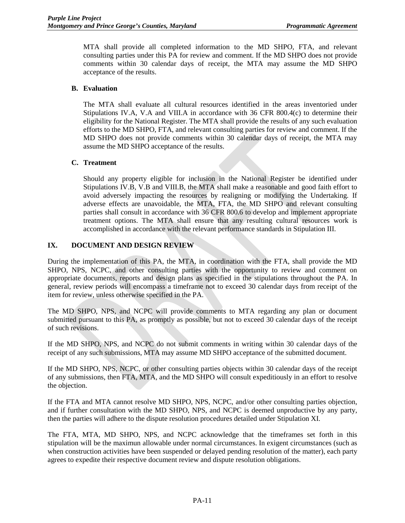MTA shall provide all completed information to the MD SHPO, FTA, and relevant consulting parties under this PA for review and comment. If the MD SHPO does not provide comments within 30 calendar days of receipt, the MTA may assume the MD SHPO acceptance of the results.

### **B. Evaluation**

The MTA shall evaluate all cultural resources identified in the areas inventoried under Stipulations IV.A, V.A and VIII.A in accordance with 36 CFR 800.4(c) to determine their eligibility for the National Register. The MTA shall provide the results of any such evaluation efforts to the MD SHPO, FTA, and relevant consulting parties for review and comment. If the MD SHPO does not provide comments within 30 calendar days of receipt, the MTA may assume the MD SHPO acceptance of the results.

### **C. Treatment**

Should any property eligible for inclusion in the National Register be identified under Stipulations IV.B, V.B and VIII.B, the MTA shall make a reasonable and good faith effort to avoid adversely impacting the resources by realigning or modifying the Undertaking. If adverse effects are unavoidable, the MTA, FTA, the MD SHPO and relevant consulting parties shall consult in accordance with 36 CFR 800.6 to develop and implement appropriate treatment options. The MTA shall ensure that any resulting cultural resources work is accomplished in accordance with the relevant performance standards in Stipulation III.

# **IX. DOCUMENT AND DESIGN REVIEW**

During the implementation of this PA, the MTA, in coordination with the FTA, shall provide the MD SHPO, NPS, NCPC, and other consulting parties with the opportunity to review and comment on appropriate documents, reports and design plans as specified in the stipulations throughout the PA. In general, review periods will encompass a timeframe not to exceed 30 calendar days from receipt of the item for review, unless otherwise specified in the PA.

The MD SHPO, NPS, and NCPC will provide comments to MTA regarding any plan or document submitted pursuant to this PA, as promptly as possible, but not to exceed 30 calendar days of the receipt of such revisions.

If the MD SHPO, NPS, and NCPC do not submit comments in writing within 30 calendar days of the receipt of any such submissions, MTA may assume MD SHPO acceptance of the submitted document.

If the MD SHPO, NPS, NCPC, or other consulting parties objects within 30 calendar days of the receipt of any submissions, then FTA, MTA, and the MD SHPO will consult expeditiously in an effort to resolve the objection.

If the FTA and MTA cannot resolve MD SHPO, NPS, NCPC, and/or other consulting parties objection, and if further consultation with the MD SHPO, NPS, and NCPC is deemed unproductive by any party, then the parties will adhere to the dispute resolution procedures detailed under Stipulation XI.

The FTA, MTA, MD SHPO, NPS, and NCPC acknowledge that the timeframes set forth in this stipulation will be the maximun allowable under normal circumstances. In exigent circumstances (such as when construction activities have been suspended or delayed pending resolution of the matter), each party agrees to expedite their respective document review and dispute resolution obligations.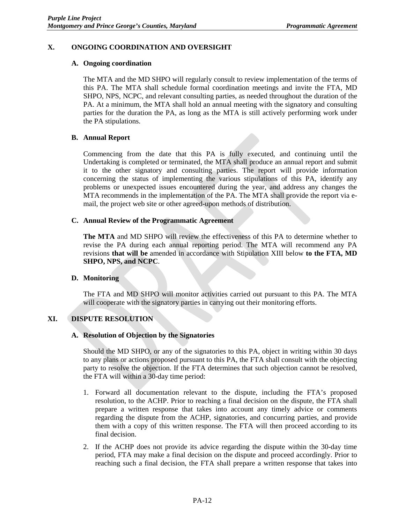### **X. ONGOING COORDINATION AND OVERSIGHT**

#### **A. Ongoing coordination**

The MTA and the MD SHPO will regularly consult to review implementation of the terms of this PA. The MTA shall schedule formal coordination meetings and invite the FTA, MD SHPO, NPS, NCPC, and relevant consulting parties, as needed throughout the duration of the PA. At a minimum, the MTA shall hold an annual meeting with the signatory and consulting parties for the duration the PA, as long as the MTA is still actively performing work under the PA stipulations.

### **B. Annual Report**

Commencing from the date that this PA is fully executed, and continuing until the Undertaking is completed or terminated, the MTA shall produce an annual report and submit it to the other signatory and consulting parties. The report will provide information concerning the status of implementing the various stipulations of this PA, identify any problems or unexpected issues encountered during the year, and address any changes the MTA recommends in the implementation of the PA. The MTA shall provide the report via email, the project web site or other agreed-upon methods of distribution.

### **C. Annual Review of the Programmatic Agreement**

**The MTA** and MD SHPO will review the effectiveness of this PA to determine whether to revise the PA during each annual reporting period. The MTA will recommend any PA revisions **that will be** amended in accordance with Stipulation XIII below **to the FTA, MD SHPO, NPS, and NCPC**.

# **D. Monitoring**

The FTA and MD SHPO will monitor activities carried out pursuant to this PA. The MTA will cooperate with the signatory parties in carrying out their monitoring efforts.

# **XI. DISPUTE RESOLUTION**

#### **A. Resolution of Objection by the Signatories**

Should the MD SHPO, or any of the signatories to this PA, object in writing within 30 days to any plans or actions proposed pursuant to this PA, the FTA shall consult with the objecting party to resolve the objection. If the FTA determines that such objection cannot be resolved, the FTA will within a 30-day time period:

- 1. Forward all documentation relevant to the dispute, including the FTA's proposed resolution, to the ACHP. Prior to reaching a final decision on the dispute, the FTA shall prepare a written response that takes into account any timely advice or comments regarding the dispute from the ACHP, signatories, and concurring parties, and provide them with a copy of this written response. The FTA will then proceed according to its final decision.
- 2. If the ACHP does not provide its advice regarding the dispute within the 30-day time period, FTA may make a final decision on the dispute and proceed accordingly. Prior to reaching such a final decision, the FTA shall prepare a written response that takes into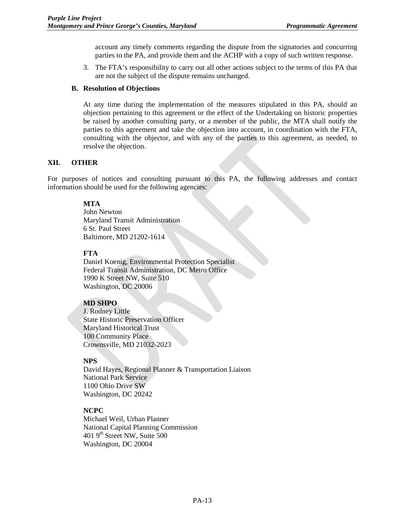account any timely comments regarding the dispute from the signatories and concurring parties to the PA, and provide them and the ACHP with a copy of such written response.

3. The FTA's responsibility to carry out all other actions subject to the terms of this PA that are not the subject of the dispute remains unchanged.

#### **B. Resolution of Objections**

At any time during the implementation of the measures stipulated in this PA, should an objection pertaining to this agreement or the effect of the Undertaking on historic properties be raised by another consulting party, or a member of the public, the MTA shall notify the parties to this agreement and take the objection into account, in coordination with the FTA, consulting with the objector, and with any of the parties to this agreement, as needed, to resolve the objection.

#### **XII. OTHER**

For purposes of notices and consulting pursuant to this PA, the following addresses and contact information should be used for the following agencies:

### **MTA**

John Newton Maryland Transit Administration 6 St. Paul Street Baltimore, MD 21202-1614

### **FTA**

Daniel Koenig, Environmental Protection Specialist Federal Transit Administration, DC Metro Office 1990 K Street NW, Suite 510 Washington, DC 20006

# **MD SHPO**

J. Rodney Little State Historic Preservation Officer Maryland Historical Trust 100 Community Place Crownsville, MD 21032-2023

# **NPS**

David Hayes, Regional Planner & Transportation Liaison National Park Service 1100 Ohio Drive SW Washington, DC 20242

# **NCPC**

Michael Weil, Urban Planner National Capital Planning Commission 401 9th Street NW, Suite 500 Washington, DC 20004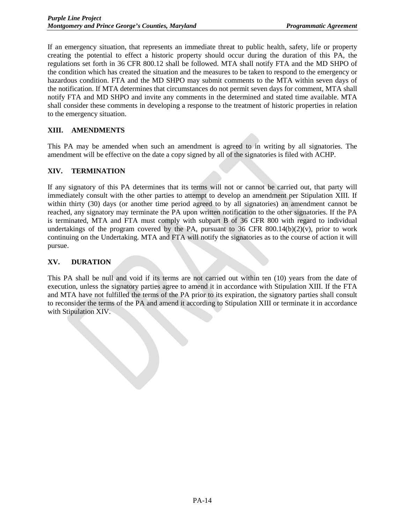If an emergency situation, that represents an immediate threat to public health, safety, life or property creating the potential to effect a historic property should occur during the duration of this PA, the regulations set forth in 36 CFR 800.12 shall be followed. MTA shall notify FTA and the MD SHPO of the condition which has created the situation and the measures to be taken to respond to the emergency or hazardous condition. FTA and the MD SHPO may submit comments to the MTA within seven days of the notification. If MTA determines that circumstances do not permit seven days for comment, MTA shall notify FTA and MD SHPO and invite any comments in the determined and stated time available. MTA shall consider these comments in developing a response to the treatment of historic properties in relation to the emergency situation.

# **XIII. AMENDMENTS**

This PA may be amended when such an amendment is agreed to in writing by all signatories. The amendment will be effective on the date a copy signed by all of the signatories is filed with ACHP.

### **XIV. TERMINATION**

If any signatory of this PA determines that its terms will not or cannot be carried out, that party will immediately consult with the other parties to attempt to develop an amendment per Stipulation XIII. If within thirty (30) days (or another time period agreed to by all signatories) an amendment cannot be reached, any signatory may terminate the PA upon written notification to the other signatories. If the PA is terminated, MTA and FTA must comply with subpart B of 36 CFR 800 with regard to individual undertakings of the program covered by the PA, pursuant to  $36$  CFR  $800.14(b)(2)(v)$ , prior to work continuing on the Undertaking. MTA and FTA will notify the signatories as to the course of action it will pursue.

### **XV. DURATION**

This PA shall be null and void if its terms are not carried out within ten (10) years from the date of execution, unless the signatory parties agree to amend it in accordance with Stipulation XIII. If the FTA and MTA have not fulfilled the terms of the PA prior to its expiration, the signatory parties shall consult to reconsider the terms of the PA and amend it according to Stipulation XIII or terminate it in accordance with Stipulation XIV.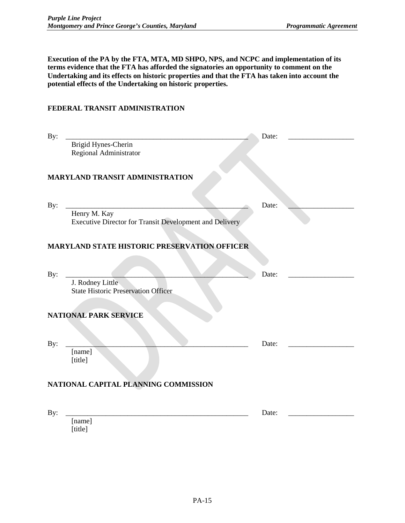**Execution of the PA by the FTA, MTA, MD SHPO, NPS, and NCPC and implementation of its terms evidence that the FTA has afforded the signatories an opportunity to comment on the Undertaking and its effects on historic properties and that the FTA has taken into account the potential effects of the Undertaking on historic properties.** 

# **FEDERAL TRANSIT ADMINISTRATION**

| By:                                          |                                                                         | Date: |  |
|----------------------------------------------|-------------------------------------------------------------------------|-------|--|
|                                              | Brigid Hynes-Cherin<br>Regional Administrator                           |       |  |
|                                              | <b>MARYLAND TRANSIT ADMINISTRATION</b>                                  |       |  |
| By:                                          |                                                                         | Date: |  |
|                                              | Henry M. Kay<br>Executive Director for Transit Development and Delivery |       |  |
| MARYLAND STATE HISTORIC PRESERVATION OFFICER |                                                                         |       |  |
| By:                                          |                                                                         | Date: |  |
|                                              | J. Rodney Little<br><b>State Historic Preservation Officer</b>          |       |  |
| <b>NATIONAL PARK SERVICE</b>                 |                                                                         |       |  |
| By:                                          |                                                                         | Date: |  |
|                                              | [name]<br>[title]                                                       |       |  |
|                                              | NATIONAL CAPITAL PLANNING COMMISSION                                    |       |  |
| By:                                          |                                                                         | Date: |  |
|                                              | [name]<br>[title]                                                       |       |  |